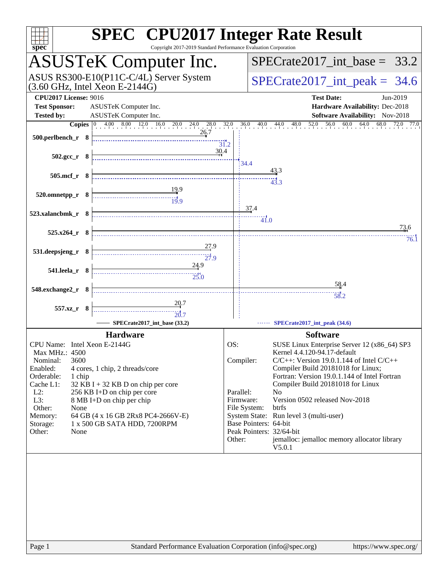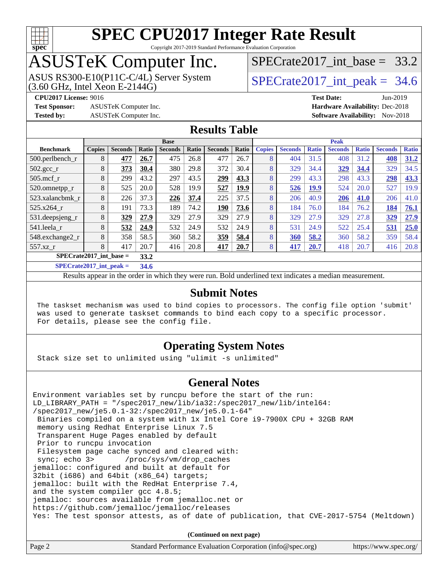

Copyright 2017-2019 Standard Performance Evaluation Corporation

## ASUSTeK Computer Inc.

 $(3.60$  GHz, Intel Xeon E-2144G) ASUS RS300-E10(P11C-C/4L) Server System SPECrate 2017 int\_peak = 34.6

SPECrate2017 int\_base =  $33.2$ 

**[Test Sponsor:](http://www.spec.org/auto/cpu2017/Docs/result-fields.html#TestSponsor)** ASUSTeK Computer Inc. **[Hardware Availability:](http://www.spec.org/auto/cpu2017/Docs/result-fields.html#HardwareAvailability)** Dec-2018

**[CPU2017 License:](http://www.spec.org/auto/cpu2017/Docs/result-fields.html#CPU2017License)** 9016 **[Test Date:](http://www.spec.org/auto/cpu2017/Docs/result-fields.html#TestDate)** Jun-2019 **[Tested by:](http://www.spec.org/auto/cpu2017/Docs/result-fields.html#Testedby)** ASUSTeK Computer Inc. **[Software Availability:](http://www.spec.org/auto/cpu2017/Docs/result-fields.html#SoftwareAvailability)** Nov-2018

### **[Results Table](http://www.spec.org/auto/cpu2017/Docs/result-fields.html#ResultsTable)**

|                                   | <b>Base</b>   |                |               |                | <b>Peak</b> |                |       |               |                |              |                |              |                |              |
|-----------------------------------|---------------|----------------|---------------|----------------|-------------|----------------|-------|---------------|----------------|--------------|----------------|--------------|----------------|--------------|
| <b>Benchmark</b>                  | <b>Copies</b> | <b>Seconds</b> | Ratio         | <b>Seconds</b> | Ratio       | <b>Seconds</b> | Ratio | <b>Copies</b> | <b>Seconds</b> | <b>Ratio</b> | <b>Seconds</b> | <b>Ratio</b> | <b>Seconds</b> | <b>Ratio</b> |
| 500.perlbench_r                   | 8             | 477            | 26.7          | 475            | 26.8        | 477            | 26.7  | 8             | 404            | 31.5         | 408            | 31.2         | 408            | 31.2         |
| $502.\text{sec}$ <sub>r</sub>     | 8             | 373            | 30.4          | 380            | 29.8        | 372            | 30.4  | 8             | 329            | 34.4         | 329            | 34.4         | 329            | 34.5         |
| $505$ .mcf r                      | 8             | 299            | 43.2          | 297            | 43.5        | 299            | 43.3  | 8             | 299            | 43.3         | 298            | 43.3         | 298            | 43.3         |
| 520.omnetpp_r                     | 8             | 525            | 20.0          | 528            | 19.9        | 527            | 19.9  | 8             | 526            | 19.9         | 524            | 20.0         | 527            | 19.9         |
| 523.xalancbmk r                   | 8             | 226            | 37.3          | 226            | 37.4        | 225            | 37.5  | 8             | 206            | 40.9         | 206            | 41.0         | 206            | 41.0         |
| 525.x264 r                        | 8             | 191            | 73.3          | 189            | 74.2        | <b>190</b>     | 73.6  | 8             | 184            | 76.0         | 184            | 76.2         | 184            | 76.1         |
| 531.deepsjeng_r                   | 8             | 329            | 27.9          | 329            | 27.9        | 329            | 27.9  | 8             | 329            | 27.9         | 329            | 27.8         | 329            | 27.9         |
| 541.leela r                       | 8             | 532            | 24.9          | 532            | 24.9        | 532            | 24.9  | 8             | 531            | 24.9         | 522            | 25.4         | 531            | 25.0         |
| 548.exchange2_r                   | 8             | 358            | 58.5          | 360            | 58.2        | 359            | 58.4  | 8             | 360            | 58.2         | 360            | 58.2         | 359            | 58.4         |
| 557.xz r                          | 8             | 417            | 20.7          | 416            | 20.8        | 417            | 20.7  | 8             | 417            | 20.7         | 418            | 20.7         | 416            | 20.8         |
| $SPECrate2017$ int base =<br>33.2 |               |                |               |                |             |                |       |               |                |              |                |              |                |              |
| $C1$ $A0$ $A2$ $A3$ $A4$          |               |                | $\sim$ $\sim$ |                |             |                |       |               |                |              |                |              |                |              |

**[SPECrate2017\\_int\\_peak =](http://www.spec.org/auto/cpu2017/Docs/result-fields.html#SPECrate2017intpeak) 34.6**

Results appear in the [order in which they were run](http://www.spec.org/auto/cpu2017/Docs/result-fields.html#RunOrder). Bold underlined text [indicates a median measurement](http://www.spec.org/auto/cpu2017/Docs/result-fields.html#Median).

#### **[Submit Notes](http://www.spec.org/auto/cpu2017/Docs/result-fields.html#SubmitNotes)**

 The taskset mechanism was used to bind copies to processors. The config file option 'submit' was used to generate taskset commands to bind each copy to a specific processor. For details, please see the config file.

### **[Operating System Notes](http://www.spec.org/auto/cpu2017/Docs/result-fields.html#OperatingSystemNotes)**

Stack size set to unlimited using "ulimit -s unlimited"

### **[General Notes](http://www.spec.org/auto/cpu2017/Docs/result-fields.html#GeneralNotes)**

Environment variables set by runcpu before the start of the run: LD\_LIBRARY\_PATH = "/spec2017\_new/lib/ia32:/spec2017\_new/lib/intel64: /spec2017\_new/je5.0.1-32:/spec2017\_new/je5.0.1-64" Binaries compiled on a system with 1x Intel Core i9-7900X CPU + 32GB RAM memory using Redhat Enterprise Linux 7.5 Transparent Huge Pages enabled by default Prior to runcpu invocation Filesystem page cache synced and cleared with: sync; echo 3> /proc/sys/vm/drop\_caches jemalloc: configured and built at default for 32bit (i686) and 64bit (x86\_64) targets; jemalloc: built with the RedHat Enterprise 7.4, and the system compiler gcc 4.8.5; jemalloc: sources available from jemalloc.net or <https://github.com/jemalloc/jemalloc/releases> Yes: The test sponsor attests, as of date of publication, that CVE-2017-5754 (Meltdown)

**(Continued on next page)**

| Page 2 | Standard Performance Evaluation Corporation (info@spec.org) | https://www.spec.org/ |
|--------|-------------------------------------------------------------|-----------------------|
|--------|-------------------------------------------------------------|-----------------------|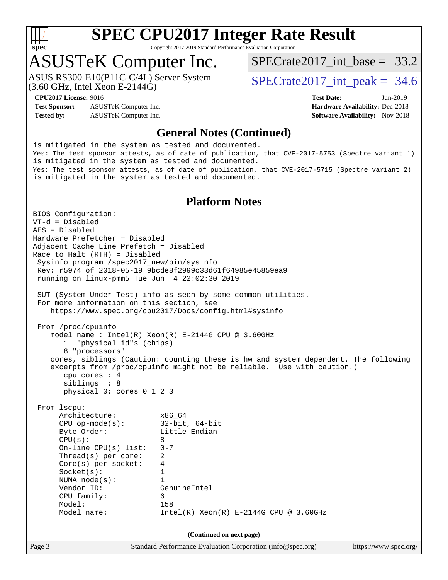

Copyright 2017-2019 Standard Performance Evaluation Corporation

## ASUSTeK Computer Inc.

(3.60 GHz, Intel Xeon E-2144G) ASUS RS300-E10(P11C-C/4L) Server System SPECrate 2017 int\_peak = 34.6

[SPECrate2017\\_int\\_base =](http://www.spec.org/auto/cpu2017/Docs/result-fields.html#SPECrate2017intbase) 33.2

**[Test Sponsor:](http://www.spec.org/auto/cpu2017/Docs/result-fields.html#TestSponsor)** ASUSTeK Computer Inc. **[Hardware Availability:](http://www.spec.org/auto/cpu2017/Docs/result-fields.html#HardwareAvailability)** Dec-2018 **[Tested by:](http://www.spec.org/auto/cpu2017/Docs/result-fields.html#Testedby)** ASUSTeK Computer Inc. **[Software Availability:](http://www.spec.org/auto/cpu2017/Docs/result-fields.html#SoftwareAvailability)** Nov-2018

**[CPU2017 License:](http://www.spec.org/auto/cpu2017/Docs/result-fields.html#CPU2017License)** 9016 **[Test Date:](http://www.spec.org/auto/cpu2017/Docs/result-fields.html#TestDate)** Jun-2019

#### **[General Notes \(Continued\)](http://www.spec.org/auto/cpu2017/Docs/result-fields.html#GeneralNotes)**

is mitigated in the system as tested and documented. Yes: The test sponsor attests, as of date of publication, that CVE-2017-5753 (Spectre variant 1) is mitigated in the system as tested and documented. Yes: The test sponsor attests, as of date of publication, that CVE-2017-5715 (Spectre variant 2) is mitigated in the system as tested and documented.

#### **[Platform Notes](http://www.spec.org/auto/cpu2017/Docs/result-fields.html#PlatformNotes)**

Page 3 Standard Performance Evaluation Corporation [\(info@spec.org\)](mailto:info@spec.org) <https://www.spec.org/> BIOS Configuration: VT-d = Disabled AES = Disabled Hardware Prefetcher = Disabled Adjacent Cache Line Prefetch = Disabled Race to Halt (RTH) = Disabled Sysinfo program /spec2017\_new/bin/sysinfo Rev: r5974 of 2018-05-19 9bcde8f2999c33d61f64985e45859ea9 running on linux-pmm5 Tue Jun 4 22:02:30 2019 SUT (System Under Test) info as seen by some common utilities. For more information on this section, see <https://www.spec.org/cpu2017/Docs/config.html#sysinfo> From /proc/cpuinfo model name : Intel(R) Xeon(R) E-2144G CPU @ 3.60GHz 1 "physical id"s (chips) 8 "processors" cores, siblings (Caution: counting these is hw and system dependent. The following excerpts from /proc/cpuinfo might not be reliable. Use with caution.) cpu cores : 4 siblings : 8 physical 0: cores 0 1 2 3 From lscpu: Architecture: x86\_64 CPU op-mode(s): 32-bit, 64-bit Byte Order:  $CPU(s): 8$  On-line CPU(s) list: 0-7 Thread(s) per core: 2 Core(s) per socket: 4 Socket(s): 1 NUMA node(s): 1 Vendor ID: GenuineIntel CPU family: 6 Model: 158 Model name: Intel(R) Xeon(R) E-2144G CPU @ 3.60GHz **(Continued on next page)**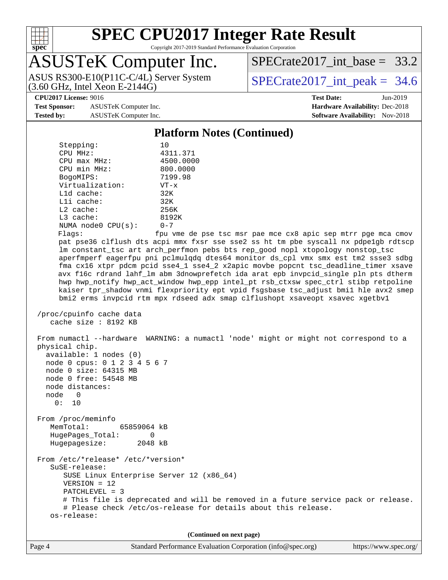

Copyright 2017-2019 Standard Performance Evaluation Corporation

## ASUSTeK Computer Inc.

(3.60 GHz, Intel Xeon E-2144G) ASUS RS300-E10(P11C-C/4L) Server System  $\vert$  SPECrate2017 int peak = 34.6

SPECrate2017 int\_base =  $33.2$ 

**[Test Sponsor:](http://www.spec.org/auto/cpu2017/Docs/result-fields.html#TestSponsor)** ASUSTeK Computer Inc. **[Hardware Availability:](http://www.spec.org/auto/cpu2017/Docs/result-fields.html#HardwareAvailability)** Dec-2018 **[Tested by:](http://www.spec.org/auto/cpu2017/Docs/result-fields.html#Testedby)** ASUSTeK Computer Inc. **[Software Availability:](http://www.spec.org/auto/cpu2017/Docs/result-fields.html#SoftwareAvailability)** Nov-2018

**[CPU2017 License:](http://www.spec.org/auto/cpu2017/Docs/result-fields.html#CPU2017License)** 9016 **[Test Date:](http://www.spec.org/auto/cpu2017/Docs/result-fields.html#TestDate)** Jun-2019

#### **[Platform Notes \(Continued\)](http://www.spec.org/auto/cpu2017/Docs/result-fields.html#PlatformNotes)** Stepping: 10 CPU MHz: 4311.371 CPU max MHz: 4500.0000 CPU min MHz: 800.0000 BogoMIPS: 7199.98 Virtualization: VT-x L1d cache: 32K L1i cache: 32K L2 cache: 256K L3 cache: 8192K NUMA node0 CPU(s): 0-7 Flags: fpu vme de pse tsc msr pae mce cx8 apic sep mtrr pge mca cmov pat pse36 clflush dts acpi mmx fxsr sse sse2 ss ht tm pbe syscall nx pdpe1gb rdtscp lm constant\_tsc art arch\_perfmon pebs bts rep\_good nopl xtopology nonstop\_tsc aperfmperf eagerfpu pni pclmulqdq dtes64 monitor ds\_cpl vmx smx est tm2 ssse3 sdbg fma cx16 xtpr pdcm pcid sse4\_1 sse4\_2 x2apic movbe popcnt tsc\_deadline\_timer xsave avx f16c rdrand lahf\_lm abm 3dnowprefetch ida arat epb invpcid\_single pln pts dtherm hwp hwp\_notify hwp\_act\_window hwp\_epp intel\_pt rsb\_ctxsw spec\_ctrl stibp retpoline kaiser tpr\_shadow vnmi flexpriority ept vpid fsgsbase tsc\_adjust bmi1 hle avx2 smep bmi2 erms invpcid rtm mpx rdseed adx smap clflushopt xsaveopt xsavec xgetbv1 /proc/cpuinfo cache data cache size : 8192 KB From numactl --hardware WARNING: a numactl 'node' might or might not correspond to a physical chip. available: 1 nodes (0) node 0 cpus: 0 1 2 3 4 5 6 7 node 0 size: 64315 MB node 0 free: 54548 MB node distances: node 0 0: 10 From /proc/meminfo MemTotal: 65859064 kB HugePages\_Total: 0 Hugepagesize: 2048 kB From /etc/\*release\* /etc/\*version\* SuSE-release: SUSE Linux Enterprise Server 12 (x86\_64) VERSION = 12 PATCHLEVEL = 3 # This file is deprecated and will be removed in a future service pack or release. # Please check /etc/os-release for details about this release. os-release: **(Continued on next page)**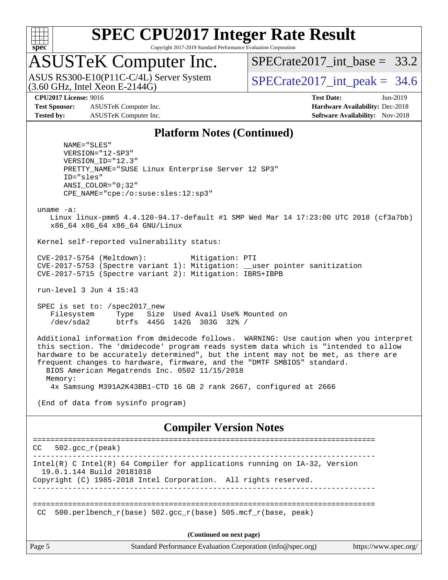

Copyright 2017-2019 Standard Performance Evaluation Corporation

## ASUSTeK Computer Inc.

(3.60 GHz, Intel Xeon E-2144G) ASUS RS300-E10(P11C-C/4L) Server System SPECrate 2017 int\_peak = 34.6

SPECrate2017 int\_base =  $33.2$ 

**[Test Sponsor:](http://www.spec.org/auto/cpu2017/Docs/result-fields.html#TestSponsor)** ASUSTeK Computer Inc. **[Hardware Availability:](http://www.spec.org/auto/cpu2017/Docs/result-fields.html#HardwareAvailability)** Dec-2018 **[Tested by:](http://www.spec.org/auto/cpu2017/Docs/result-fields.html#Testedby)** ASUSTeK Computer Inc. **[Software Availability:](http://www.spec.org/auto/cpu2017/Docs/result-fields.html#SoftwareAvailability)** Nov-2018

**[CPU2017 License:](http://www.spec.org/auto/cpu2017/Docs/result-fields.html#CPU2017License)** 9016 **[Test Date:](http://www.spec.org/auto/cpu2017/Docs/result-fields.html#TestDate)** Jun-2019

#### **[Platform Notes \(Continued\)](http://www.spec.org/auto/cpu2017/Docs/result-fields.html#PlatformNotes)**

 NAME="SLES" VERSION="12-SP3" VERSION\_ID="12.3" PRETTY\_NAME="SUSE Linux Enterprise Server 12 SP3" ID="sles" ANSI\_COLOR="0;32" CPE\_NAME="cpe:/o:suse:sles:12:sp3"

uname -a:

 Linux linux-pmm5 4.4.120-94.17-default #1 SMP Wed Mar 14 17:23:00 UTC 2018 (cf3a7bb) x86\_64 x86\_64 x86\_64 GNU/Linux

Kernel self-reported vulnerability status:

 CVE-2017-5754 (Meltdown): Mitigation: PTI CVE-2017-5753 (Spectre variant 1): Mitigation: \_\_user pointer sanitization CVE-2017-5715 (Spectre variant 2): Mitigation: IBRS+IBPB

run-level 3 Jun 4 15:43

 SPEC is set to: /spec2017\_new Filesystem Type Size Used Avail Use% Mounted on /dev/sda2 btrfs 445G 142G 303G 32% /

 Additional information from dmidecode follows. WARNING: Use caution when you interpret this section. The 'dmidecode' program reads system data which is "intended to allow hardware to be accurately determined", but the intent may not be met, as there are frequent changes to hardware, firmware, and the "DMTF SMBIOS" standard. BIOS American Megatrends Inc. 0502 11/15/2018 Memory: 4x Samsung M391A2K43BB1-CTD 16 GB 2 rank 2667, configured at 2666

(End of data from sysinfo program)

#### **[Compiler Version Notes](http://www.spec.org/auto/cpu2017/Docs/result-fields.html#CompilerVersionNotes)**

============================================================================== CC 502.gcc\_r(peak) ------------------------------------------------------------------------------ Intel(R) C Intel(R) 64 Compiler for applications running on IA-32, Version 19.0.1.144 Build 20181018 Copyright (C) 1985-2018 Intel Corporation. All rights reserved. ------------------------------------------------------------------------------ ============================================================================== CC 500.perlbench  $r(base)$  502.gcc  $r(base)$  505.mcf  $r(base, peak)$ **(Continued on next page)**

Page 5 Standard Performance Evaluation Corporation [\(info@spec.org\)](mailto:info@spec.org) <https://www.spec.org/>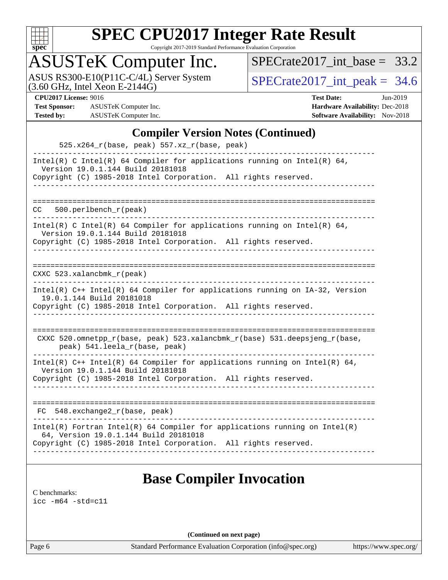

Copyright 2017-2019 Standard Performance Evaluation Corporation

## ASUSTeK Computer Inc.

ASUS RS300-E10(P11C-C/4L) Server System  $(3.60 \text{ GHz}, \text{ Intel Xeon E-2144G})$   $\big| \text{SPECrate2017\_int\_peak} = 34.6$ 

[SPECrate2017\\_int\\_base =](http://www.spec.org/auto/cpu2017/Docs/result-fields.html#SPECrate2017intbase) 33.2

**[Test Sponsor:](http://www.spec.org/auto/cpu2017/Docs/result-fields.html#TestSponsor)** ASUSTeK Computer Inc. **[Hardware Availability:](http://www.spec.org/auto/cpu2017/Docs/result-fields.html#HardwareAvailability)** Dec-2018 **[Tested by:](http://www.spec.org/auto/cpu2017/Docs/result-fields.html#Testedby)** ASUSTeK Computer Inc. **[Software Availability:](http://www.spec.org/auto/cpu2017/Docs/result-fields.html#SoftwareAvailability)** Nov-2018

**[CPU2017 License:](http://www.spec.org/auto/cpu2017/Docs/result-fields.html#CPU2017License)** 9016 **[Test Date:](http://www.spec.org/auto/cpu2017/Docs/result-fields.html#TestDate)** Jun-2019

### **[Compiler Version Notes \(Continued\)](http://www.spec.org/auto/cpu2017/Docs/result-fields.html#CompilerVersionNotes)**

| 525.x264_r(base, peak) 557.xz_r(base, peak)                                                                       |  |
|-------------------------------------------------------------------------------------------------------------------|--|
| Intel(R) C Intel(R) 64 Compiler for applications running on Intel(R) 64,<br>Version 19.0.1.144 Build 20181018     |  |
| Copyright (C) 1985-2018 Intel Corporation. All rights reserved.                                                   |  |
|                                                                                                                   |  |
| 500.perlbench_r(peak)<br>CC.                                                                                      |  |
| Intel(R) C Intel(R) 64 Compiler for applications running on Intel(R) 64,<br>Version 19.0.1.144 Build 20181018     |  |
| Copyright (C) 1985-2018 Intel Corporation. All rights reserved.<br>____________________________                   |  |
|                                                                                                                   |  |
| CXXC $523.$ xalancbmk $r$ (peak)                                                                                  |  |
| Intel(R) C++ Intel(R) 64 Compiler for applications running on IA-32, Version<br>19.0.1.144 Build 20181018         |  |
| Copyright (C) 1985-2018 Intel Corporation. All rights reserved.<br>____________________________________           |  |
|                                                                                                                   |  |
| CXXC 520.omnetpp_r(base, peak) 523.xalancbmk_r(base) 531.deepsjeng_r(base,<br>peak) 541.leela_r(base, peak)       |  |
| Intel(R) $C++$ Intel(R) 64 Compiler for applications running on Intel(R) 64,<br>Version 19.0.1.144 Build 20181018 |  |
| Copyright (C) 1985-2018 Intel Corporation. All rights reserved.                                                   |  |
|                                                                                                                   |  |
| FC 548.exchange2_r(base, peak)                                                                                    |  |
| $Intel(R)$ Fortran Intel(R) 64 Compiler for applications running on Intel(R)                                      |  |
| 64, Version 19.0.1.144 Build 20181018                                                                             |  |

### **[Base Compiler Invocation](http://www.spec.org/auto/cpu2017/Docs/result-fields.html#BaseCompilerInvocation)**

[C benchmarks](http://www.spec.org/auto/cpu2017/Docs/result-fields.html#Cbenchmarks): [icc -m64 -std=c11](http://www.spec.org/cpu2017/results/res2019q3/cpu2017-20190625-15876.flags.html#user_CCbase_intel_icc_64bit_c11_33ee0cdaae7deeeab2a9725423ba97205ce30f63b9926c2519791662299b76a0318f32ddfffdc46587804de3178b4f9328c46fa7c2b0cd779d7a61945c91cd35)

**(Continued on next page)**

Page 6 Standard Performance Evaluation Corporation [\(info@spec.org\)](mailto:info@spec.org) <https://www.spec.org/>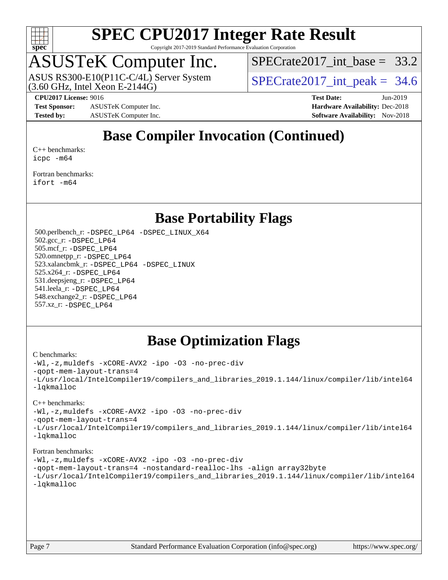

Copyright 2017-2019 Standard Performance Evaluation Corporation

## ASUSTeK Computer Inc.

(3.60 GHz, Intel Xeon E-2144G) ASUS RS300-E10(P11C-C/4L) Server System SPECrate 2017 int\_peak = 34.6

SPECrate2017 int\_base =  $33.2$ 

**[Test Sponsor:](http://www.spec.org/auto/cpu2017/Docs/result-fields.html#TestSponsor)** ASUSTeK Computer Inc. **[Hardware Availability:](http://www.spec.org/auto/cpu2017/Docs/result-fields.html#HardwareAvailability)** Dec-2018 **[Tested by:](http://www.spec.org/auto/cpu2017/Docs/result-fields.html#Testedby)** ASUSTeK Computer Inc. **[Software Availability:](http://www.spec.org/auto/cpu2017/Docs/result-fields.html#SoftwareAvailability)** Nov-2018

**[CPU2017 License:](http://www.spec.org/auto/cpu2017/Docs/result-fields.html#CPU2017License)** 9016 **[Test Date:](http://www.spec.org/auto/cpu2017/Docs/result-fields.html#TestDate)** Jun-2019

### **[Base Compiler Invocation \(Continued\)](http://www.spec.org/auto/cpu2017/Docs/result-fields.html#BaseCompilerInvocation)**

[C++ benchmarks:](http://www.spec.org/auto/cpu2017/Docs/result-fields.html#CXXbenchmarks) [icpc -m64](http://www.spec.org/cpu2017/results/res2019q3/cpu2017-20190625-15876.flags.html#user_CXXbase_intel_icpc_64bit_4ecb2543ae3f1412ef961e0650ca070fec7b7afdcd6ed48761b84423119d1bf6bdf5cad15b44d48e7256388bc77273b966e5eb805aefd121eb22e9299b2ec9d9)

[Fortran benchmarks](http://www.spec.org/auto/cpu2017/Docs/result-fields.html#Fortranbenchmarks): [ifort -m64](http://www.spec.org/cpu2017/results/res2019q3/cpu2017-20190625-15876.flags.html#user_FCbase_intel_ifort_64bit_24f2bb282fbaeffd6157abe4f878425411749daecae9a33200eee2bee2fe76f3b89351d69a8130dd5949958ce389cf37ff59a95e7a40d588e8d3a57e0c3fd751)

### **[Base Portability Flags](http://www.spec.org/auto/cpu2017/Docs/result-fields.html#BasePortabilityFlags)**

 500.perlbench\_r: [-DSPEC\\_LP64](http://www.spec.org/cpu2017/results/res2019q3/cpu2017-20190625-15876.flags.html#b500.perlbench_r_basePORTABILITY_DSPEC_LP64) [-DSPEC\\_LINUX\\_X64](http://www.spec.org/cpu2017/results/res2019q3/cpu2017-20190625-15876.flags.html#b500.perlbench_r_baseCPORTABILITY_DSPEC_LINUX_X64) 502.gcc\_r: [-DSPEC\\_LP64](http://www.spec.org/cpu2017/results/res2019q3/cpu2017-20190625-15876.flags.html#suite_basePORTABILITY502_gcc_r_DSPEC_LP64) 505.mcf\_r: [-DSPEC\\_LP64](http://www.spec.org/cpu2017/results/res2019q3/cpu2017-20190625-15876.flags.html#suite_basePORTABILITY505_mcf_r_DSPEC_LP64) 520.omnetpp\_r: [-DSPEC\\_LP64](http://www.spec.org/cpu2017/results/res2019q3/cpu2017-20190625-15876.flags.html#suite_basePORTABILITY520_omnetpp_r_DSPEC_LP64) 523.xalancbmk\_r: [-DSPEC\\_LP64](http://www.spec.org/cpu2017/results/res2019q3/cpu2017-20190625-15876.flags.html#suite_basePORTABILITY523_xalancbmk_r_DSPEC_LP64) [-DSPEC\\_LINUX](http://www.spec.org/cpu2017/results/res2019q3/cpu2017-20190625-15876.flags.html#b523.xalancbmk_r_baseCXXPORTABILITY_DSPEC_LINUX) 525.x264\_r: [-DSPEC\\_LP64](http://www.spec.org/cpu2017/results/res2019q3/cpu2017-20190625-15876.flags.html#suite_basePORTABILITY525_x264_r_DSPEC_LP64) 531.deepsjeng\_r: [-DSPEC\\_LP64](http://www.spec.org/cpu2017/results/res2019q3/cpu2017-20190625-15876.flags.html#suite_basePORTABILITY531_deepsjeng_r_DSPEC_LP64) 541.leela\_r: [-DSPEC\\_LP64](http://www.spec.org/cpu2017/results/res2019q3/cpu2017-20190625-15876.flags.html#suite_basePORTABILITY541_leela_r_DSPEC_LP64) 548.exchange2\_r: [-DSPEC\\_LP64](http://www.spec.org/cpu2017/results/res2019q3/cpu2017-20190625-15876.flags.html#suite_basePORTABILITY548_exchange2_r_DSPEC_LP64) 557.xz\_r: [-DSPEC\\_LP64](http://www.spec.org/cpu2017/results/res2019q3/cpu2017-20190625-15876.flags.html#suite_basePORTABILITY557_xz_r_DSPEC_LP64)

### **[Base Optimization Flags](http://www.spec.org/auto/cpu2017/Docs/result-fields.html#BaseOptimizationFlags)**

#### [C benchmarks](http://www.spec.org/auto/cpu2017/Docs/result-fields.html#Cbenchmarks):

```
-Wl,-z,muldefs -xCORE-AVX2 -ipo -O3 -no-prec-div
-qopt-mem-layout-trans=4
-L/usr/local/IntelCompiler19/compilers_and_libraries_2019.1.144/linux/compiler/lib/intel64
-lqkmalloc
```
#### [C++ benchmarks](http://www.spec.org/auto/cpu2017/Docs/result-fields.html#CXXbenchmarks):

[-Wl,-z,muldefs](http://www.spec.org/cpu2017/results/res2019q3/cpu2017-20190625-15876.flags.html#user_CXXbase_link_force_multiple1_b4cbdb97b34bdee9ceefcfe54f4c8ea74255f0b02a4b23e853cdb0e18eb4525ac79b5a88067c842dd0ee6996c24547a27a4b99331201badda8798ef8a743f577) [-xCORE-AVX2](http://www.spec.org/cpu2017/results/res2019q3/cpu2017-20190625-15876.flags.html#user_CXXbase_f-xCORE-AVX2) [-ipo](http://www.spec.org/cpu2017/results/res2019q3/cpu2017-20190625-15876.flags.html#user_CXXbase_f-ipo) [-O3](http://www.spec.org/cpu2017/results/res2019q3/cpu2017-20190625-15876.flags.html#user_CXXbase_f-O3) [-no-prec-div](http://www.spec.org/cpu2017/results/res2019q3/cpu2017-20190625-15876.flags.html#user_CXXbase_f-no-prec-div) [-qopt-mem-layout-trans=4](http://www.spec.org/cpu2017/results/res2019q3/cpu2017-20190625-15876.flags.html#user_CXXbase_f-qopt-mem-layout-trans_fa39e755916c150a61361b7846f310bcdf6f04e385ef281cadf3647acec3f0ae266d1a1d22d972a7087a248fd4e6ca390a3634700869573d231a252c784941a8) [-L/usr/local/IntelCompiler19/compilers\\_and\\_libraries\\_2019.1.144/linux/compiler/lib/intel64](http://www.spec.org/cpu2017/results/res2019q3/cpu2017-20190625-15876.flags.html#user_CXXbase_qkmalloc_link_f25da0aa8cf9bced0533715046f0c2fbfb1a7191e3e496916672e09b4c388a884c4c7e4862cb529343da2264b43416df65c99fd1ddbf5dd13ae6d3130cf47881) [-lqkmalloc](http://www.spec.org/cpu2017/results/res2019q3/cpu2017-20190625-15876.flags.html#user_CXXbase_qkmalloc_link_lib_79a818439969f771c6bc311cfd333c00fc099dad35c030f5aab9dda831713d2015205805422f83de8875488a2991c0a156aaa600e1f9138f8fc37004abc96dc5)

#### [Fortran benchmarks](http://www.spec.org/auto/cpu2017/Docs/result-fields.html#Fortranbenchmarks):

```
-Wl,-z,muldefs -xCORE-AVX2 -ipo -O3 -no-prec-div
-qopt-mem-layout-trans=4 -nostandard-realloc-lhs -align array32byte
-L/usr/local/IntelCompiler19/compilers_and_libraries_2019.1.144/linux/compiler/lib/intel64
-lqkmalloc
```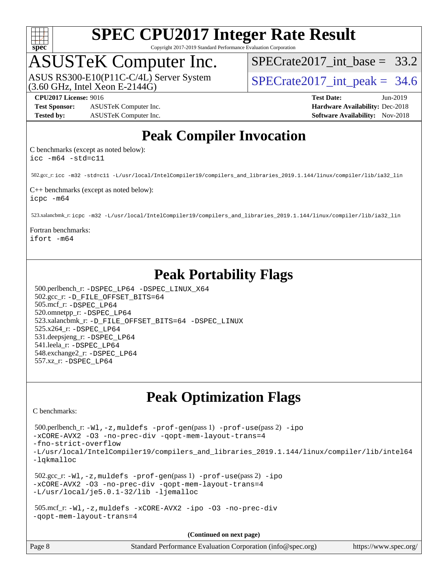

Copyright 2017-2019 Standard Performance Evaluation Corporation

# ASUSTeK Computer Inc.<br>ASUS RS300-E10(P11C-C/4L) Server System

(3.60 GHz, Intel Xeon E-2144G)

 $SPECrate2017\_int\_base = 33.2$ 

SPECrate2017 int peak =  $34.6$ 

#### **[CPU2017 License:](http://www.spec.org/auto/cpu2017/Docs/result-fields.html#CPU2017License)** 9016 **[Test Date:](http://www.spec.org/auto/cpu2017/Docs/result-fields.html#TestDate)** Jun-2019

**[Test Sponsor:](http://www.spec.org/auto/cpu2017/Docs/result-fields.html#TestSponsor)** ASUSTeK Computer Inc. **[Hardware Availability:](http://www.spec.org/auto/cpu2017/Docs/result-fields.html#HardwareAvailability)** Dec-2018 **[Tested by:](http://www.spec.org/auto/cpu2017/Docs/result-fields.html#Testedby)** ASUSTeK Computer Inc. **[Software Availability:](http://www.spec.org/auto/cpu2017/Docs/result-fields.html#SoftwareAvailability)** Nov-2018

### **[Peak Compiler Invocation](http://www.spec.org/auto/cpu2017/Docs/result-fields.html#PeakCompilerInvocation)**

[C benchmarks \(except as noted below\)](http://www.spec.org/auto/cpu2017/Docs/result-fields.html#Cbenchmarksexceptasnotedbelow): [icc -m64 -std=c11](http://www.spec.org/cpu2017/results/res2019q3/cpu2017-20190625-15876.flags.html#user_CCpeak_intel_icc_64bit_c11_33ee0cdaae7deeeab2a9725423ba97205ce30f63b9926c2519791662299b76a0318f32ddfffdc46587804de3178b4f9328c46fa7c2b0cd779d7a61945c91cd35)

502.gcc\_r: [icc -m32 -std=c11 -L/usr/local/IntelCompiler19/compilers\\_and\\_libraries\\_2019.1.144/linux/compiler/lib/ia32\\_lin](http://www.spec.org/cpu2017/results/res2019q3/cpu2017-20190625-15876.flags.html#user_peakCCLD502_gcc_r_intel_icc_40453ff6bf9521e1d4c2d3e2fb99253a88fa516366d57fe908127cec2d2803e1a519020f7199618d366f5331d17d60a40bdca38a56a807895183dcecb671b0e5)

[C++ benchmarks \(except as noted below\)](http://www.spec.org/auto/cpu2017/Docs/result-fields.html#CXXbenchmarksexceptasnotedbelow): [icpc -m64](http://www.spec.org/cpu2017/results/res2019q3/cpu2017-20190625-15876.flags.html#user_CXXpeak_intel_icpc_64bit_4ecb2543ae3f1412ef961e0650ca070fec7b7afdcd6ed48761b84423119d1bf6bdf5cad15b44d48e7256388bc77273b966e5eb805aefd121eb22e9299b2ec9d9)

523.xalancbmk\_r: [icpc -m32 -L/usr/local/IntelCompiler19/compilers\\_and\\_libraries\\_2019.1.144/linux/compiler/lib/ia32\\_lin](http://www.spec.org/cpu2017/results/res2019q3/cpu2017-20190625-15876.flags.html#user_peakCXXLD523_xalancbmk_r_intel_icpc_da1545662a59c569b62a27824af614167f9a0289efc0155d279b219af3bd2ccb3c10a77eb36bcb264d681e48d9166bbcec9d21ef2c85e5a63a687a8887ddded7)

#### [Fortran benchmarks:](http://www.spec.org/auto/cpu2017/Docs/result-fields.html#Fortranbenchmarks) [ifort -m64](http://www.spec.org/cpu2017/results/res2019q3/cpu2017-20190625-15876.flags.html#user_FCpeak_intel_ifort_64bit_24f2bb282fbaeffd6157abe4f878425411749daecae9a33200eee2bee2fe76f3b89351d69a8130dd5949958ce389cf37ff59a95e7a40d588e8d3a57e0c3fd751)

### **[Peak Portability Flags](http://www.spec.org/auto/cpu2017/Docs/result-fields.html#PeakPortabilityFlags)**

 500.perlbench\_r: [-DSPEC\\_LP64](http://www.spec.org/cpu2017/results/res2019q3/cpu2017-20190625-15876.flags.html#b500.perlbench_r_peakPORTABILITY_DSPEC_LP64) [-DSPEC\\_LINUX\\_X64](http://www.spec.org/cpu2017/results/res2019q3/cpu2017-20190625-15876.flags.html#b500.perlbench_r_peakCPORTABILITY_DSPEC_LINUX_X64) 502.gcc\_r: [-D\\_FILE\\_OFFSET\\_BITS=64](http://www.spec.org/cpu2017/results/res2019q3/cpu2017-20190625-15876.flags.html#user_peakPORTABILITY502_gcc_r_file_offset_bits_64_5ae949a99b284ddf4e95728d47cb0843d81b2eb0e18bdfe74bbf0f61d0b064f4bda2f10ea5eb90e1dcab0e84dbc592acfc5018bc955c18609f94ddb8d550002c) 505.mcf\_r: [-DSPEC\\_LP64](http://www.spec.org/cpu2017/results/res2019q3/cpu2017-20190625-15876.flags.html#suite_peakPORTABILITY505_mcf_r_DSPEC_LP64) 520.omnetpp\_r: [-DSPEC\\_LP64](http://www.spec.org/cpu2017/results/res2019q3/cpu2017-20190625-15876.flags.html#suite_peakPORTABILITY520_omnetpp_r_DSPEC_LP64) 523.xalancbmk\_r: [-D\\_FILE\\_OFFSET\\_BITS=64](http://www.spec.org/cpu2017/results/res2019q3/cpu2017-20190625-15876.flags.html#user_peakPORTABILITY523_xalancbmk_r_file_offset_bits_64_5ae949a99b284ddf4e95728d47cb0843d81b2eb0e18bdfe74bbf0f61d0b064f4bda2f10ea5eb90e1dcab0e84dbc592acfc5018bc955c18609f94ddb8d550002c) [-DSPEC\\_LINUX](http://www.spec.org/cpu2017/results/res2019q3/cpu2017-20190625-15876.flags.html#b523.xalancbmk_r_peakCXXPORTABILITY_DSPEC_LINUX) 525.x264\_r: [-DSPEC\\_LP64](http://www.spec.org/cpu2017/results/res2019q3/cpu2017-20190625-15876.flags.html#suite_peakPORTABILITY525_x264_r_DSPEC_LP64) 531.deepsjeng\_r: [-DSPEC\\_LP64](http://www.spec.org/cpu2017/results/res2019q3/cpu2017-20190625-15876.flags.html#suite_peakPORTABILITY531_deepsjeng_r_DSPEC_LP64) 541.leela\_r: [-DSPEC\\_LP64](http://www.spec.org/cpu2017/results/res2019q3/cpu2017-20190625-15876.flags.html#suite_peakPORTABILITY541_leela_r_DSPEC_LP64) 548.exchange2\_r: [-DSPEC\\_LP64](http://www.spec.org/cpu2017/results/res2019q3/cpu2017-20190625-15876.flags.html#suite_peakPORTABILITY548_exchange2_r_DSPEC_LP64) 557.xz\_r: [-DSPEC\\_LP64](http://www.spec.org/cpu2017/results/res2019q3/cpu2017-20190625-15876.flags.html#suite_peakPORTABILITY557_xz_r_DSPEC_LP64)

### **[Peak Optimization Flags](http://www.spec.org/auto/cpu2017/Docs/result-fields.html#PeakOptimizationFlags)**

[C benchmarks](http://www.spec.org/auto/cpu2017/Docs/result-fields.html#Cbenchmarks):

 500.perlbench\_r: [-Wl,-z,muldefs](http://www.spec.org/cpu2017/results/res2019q3/cpu2017-20190625-15876.flags.html#user_peakEXTRA_LDFLAGS500_perlbench_r_link_force_multiple1_b4cbdb97b34bdee9ceefcfe54f4c8ea74255f0b02a4b23e853cdb0e18eb4525ac79b5a88067c842dd0ee6996c24547a27a4b99331201badda8798ef8a743f577) [-prof-gen](http://www.spec.org/cpu2017/results/res2019q3/cpu2017-20190625-15876.flags.html#user_peakPASS1_CFLAGSPASS1_LDFLAGS500_perlbench_r_prof_gen_5aa4926d6013ddb2a31985c654b3eb18169fc0c6952a63635c234f711e6e63dd76e94ad52365559451ec499a2cdb89e4dc58ba4c67ef54ca681ffbe1461d6b36)(pass 1) [-prof-use](http://www.spec.org/cpu2017/results/res2019q3/cpu2017-20190625-15876.flags.html#user_peakPASS2_CFLAGSPASS2_LDFLAGS500_perlbench_r_prof_use_1a21ceae95f36a2b53c25747139a6c16ca95bd9def2a207b4f0849963b97e94f5260e30a0c64f4bb623698870e679ca08317ef8150905d41bd88c6f78df73f19)(pass 2) [-ipo](http://www.spec.org/cpu2017/results/res2019q3/cpu2017-20190625-15876.flags.html#user_peakPASS1_COPTIMIZEPASS2_COPTIMIZE500_perlbench_r_f-ipo) [-xCORE-AVX2](http://www.spec.org/cpu2017/results/res2019q3/cpu2017-20190625-15876.flags.html#user_peakPASS2_COPTIMIZE500_perlbench_r_f-xCORE-AVX2) [-O3](http://www.spec.org/cpu2017/results/res2019q3/cpu2017-20190625-15876.flags.html#user_peakPASS1_COPTIMIZEPASS2_COPTIMIZE500_perlbench_r_f-O3) [-no-prec-div](http://www.spec.org/cpu2017/results/res2019q3/cpu2017-20190625-15876.flags.html#user_peakPASS1_COPTIMIZEPASS2_COPTIMIZE500_perlbench_r_f-no-prec-div) [-qopt-mem-layout-trans=4](http://www.spec.org/cpu2017/results/res2019q3/cpu2017-20190625-15876.flags.html#user_peakPASS1_COPTIMIZEPASS2_COPTIMIZE500_perlbench_r_f-qopt-mem-layout-trans_fa39e755916c150a61361b7846f310bcdf6f04e385ef281cadf3647acec3f0ae266d1a1d22d972a7087a248fd4e6ca390a3634700869573d231a252c784941a8) [-fno-strict-overflow](http://www.spec.org/cpu2017/results/res2019q3/cpu2017-20190625-15876.flags.html#user_peakEXTRA_OPTIMIZE500_perlbench_r_f-fno-strict-overflow) [-L/usr/local/IntelCompiler19/compilers\\_and\\_libraries\\_2019.1.144/linux/compiler/lib/intel64](http://www.spec.org/cpu2017/results/res2019q3/cpu2017-20190625-15876.flags.html#user_peakEXTRA_LIBS500_perlbench_r_qkmalloc_link_f25da0aa8cf9bced0533715046f0c2fbfb1a7191e3e496916672e09b4c388a884c4c7e4862cb529343da2264b43416df65c99fd1ddbf5dd13ae6d3130cf47881) [-lqkmalloc](http://www.spec.org/cpu2017/results/res2019q3/cpu2017-20190625-15876.flags.html#user_peakEXTRA_LIBS500_perlbench_r_qkmalloc_link_lib_79a818439969f771c6bc311cfd333c00fc099dad35c030f5aab9dda831713d2015205805422f83de8875488a2991c0a156aaa600e1f9138f8fc37004abc96dc5) 502.gcc\_r: [-Wl,-z,muldefs](http://www.spec.org/cpu2017/results/res2019q3/cpu2017-20190625-15876.flags.html#user_peakEXTRA_LDFLAGS502_gcc_r_link_force_multiple1_b4cbdb97b34bdee9ceefcfe54f4c8ea74255f0b02a4b23e853cdb0e18eb4525ac79b5a88067c842dd0ee6996c24547a27a4b99331201badda8798ef8a743f577) [-prof-gen](http://www.spec.org/cpu2017/results/res2019q3/cpu2017-20190625-15876.flags.html#user_peakPASS1_CFLAGSPASS1_LDFLAGS502_gcc_r_prof_gen_5aa4926d6013ddb2a31985c654b3eb18169fc0c6952a63635c234f711e6e63dd76e94ad52365559451ec499a2cdb89e4dc58ba4c67ef54ca681ffbe1461d6b36)(pass 1) [-prof-use](http://www.spec.org/cpu2017/results/res2019q3/cpu2017-20190625-15876.flags.html#user_peakPASS2_CFLAGSPASS2_LDFLAGS502_gcc_r_prof_use_1a21ceae95f36a2b53c25747139a6c16ca95bd9def2a207b4f0849963b97e94f5260e30a0c64f4bb623698870e679ca08317ef8150905d41bd88c6f78df73f19)(pass 2) [-ipo](http://www.spec.org/cpu2017/results/res2019q3/cpu2017-20190625-15876.flags.html#user_peakPASS1_COPTIMIZEPASS2_COPTIMIZE502_gcc_r_f-ipo) [-xCORE-AVX2](http://www.spec.org/cpu2017/results/res2019q3/cpu2017-20190625-15876.flags.html#user_peakPASS2_COPTIMIZE502_gcc_r_f-xCORE-AVX2) [-O3](http://www.spec.org/cpu2017/results/res2019q3/cpu2017-20190625-15876.flags.html#user_peakPASS1_COPTIMIZEPASS2_COPTIMIZE502_gcc_r_f-O3) [-no-prec-div](http://www.spec.org/cpu2017/results/res2019q3/cpu2017-20190625-15876.flags.html#user_peakPASS1_COPTIMIZEPASS2_COPTIMIZE502_gcc_r_f-no-prec-div) [-qopt-mem-layout-trans=4](http://www.spec.org/cpu2017/results/res2019q3/cpu2017-20190625-15876.flags.html#user_peakPASS1_COPTIMIZEPASS2_COPTIMIZE502_gcc_r_f-qopt-mem-layout-trans_fa39e755916c150a61361b7846f310bcdf6f04e385ef281cadf3647acec3f0ae266d1a1d22d972a7087a248fd4e6ca390a3634700869573d231a252c784941a8) [-L/usr/local/je5.0.1-32/lib](http://www.spec.org/cpu2017/results/res2019q3/cpu2017-20190625-15876.flags.html#user_peakEXTRA_LIBS502_gcc_r_jemalloc_link_path32_e29f22e8e6c17053bbc6a0971f5a9c01a601a06bb1a59df2084b77a2fe0a2995b64fd4256feaeea39eeba3aae142e96e2b2b0a28974019c0c0c88139a84f900a) [-ljemalloc](http://www.spec.org/cpu2017/results/res2019q3/cpu2017-20190625-15876.flags.html#user_peakEXTRA_LIBS502_gcc_r_jemalloc_link_lib_d1249b907c500fa1c0672f44f562e3d0f79738ae9e3c4a9c376d49f265a04b9c99b167ecedbf6711b3085be911c67ff61f150a17b3472be731631ba4d0471706) 505.mcf\_r: [-Wl,-z,muldefs](http://www.spec.org/cpu2017/results/res2019q3/cpu2017-20190625-15876.flags.html#user_peakEXTRA_LDFLAGS505_mcf_r_link_force_multiple1_b4cbdb97b34bdee9ceefcfe54f4c8ea74255f0b02a4b23e853cdb0e18eb4525ac79b5a88067c842dd0ee6996c24547a27a4b99331201badda8798ef8a743f577) [-xCORE-AVX2](http://www.spec.org/cpu2017/results/res2019q3/cpu2017-20190625-15876.flags.html#user_peakCOPTIMIZE505_mcf_r_f-xCORE-AVX2) [-ipo](http://www.spec.org/cpu2017/results/res2019q3/cpu2017-20190625-15876.flags.html#user_peakCOPTIMIZE505_mcf_r_f-ipo) [-O3](http://www.spec.org/cpu2017/results/res2019q3/cpu2017-20190625-15876.flags.html#user_peakCOPTIMIZE505_mcf_r_f-O3) [-no-prec-div](http://www.spec.org/cpu2017/results/res2019q3/cpu2017-20190625-15876.flags.html#user_peakCOPTIMIZE505_mcf_r_f-no-prec-div) [-qopt-mem-layout-trans=4](http://www.spec.org/cpu2017/results/res2019q3/cpu2017-20190625-15876.flags.html#user_peakCOPTIMIZE505_mcf_r_f-qopt-mem-layout-trans_fa39e755916c150a61361b7846f310bcdf6f04e385ef281cadf3647acec3f0ae266d1a1d22d972a7087a248fd4e6ca390a3634700869573d231a252c784941a8)

**(Continued on next page)**

| Page 8 | Standard Performance Evaluation Corporation (info@spec.org) | https://www.spec.org/ |
|--------|-------------------------------------------------------------|-----------------------|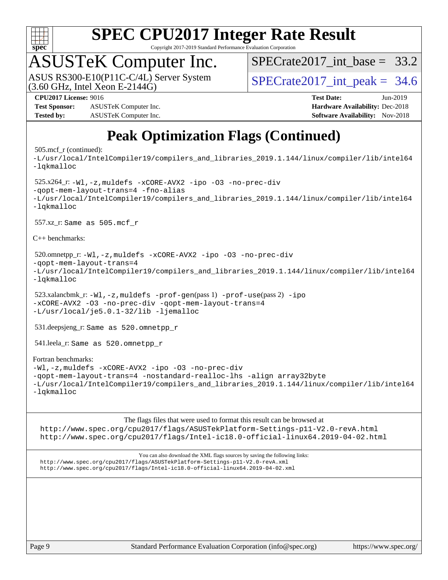

Copyright 2017-2019 Standard Performance Evaluation Corporation

## ASUSTeK Computer Inc.

 $(3.60$  GHz, Intel Xeon E-2144G) ASUS RS300-E10(P11C-C/4L) Server System SPECrate 2017 int\_peak = 34.6

 $SPECTate2017\_int\_base = 33.2$ 

**[Test Sponsor:](http://www.spec.org/auto/cpu2017/Docs/result-fields.html#TestSponsor)** ASUSTeK Computer Inc. **[Hardware Availability:](http://www.spec.org/auto/cpu2017/Docs/result-fields.html#HardwareAvailability)** Dec-2018 **[Tested by:](http://www.spec.org/auto/cpu2017/Docs/result-fields.html#Testedby)** ASUSTeK Computer Inc. **[Software Availability:](http://www.spec.org/auto/cpu2017/Docs/result-fields.html#SoftwareAvailability)** Nov-2018

**[CPU2017 License:](http://www.spec.org/auto/cpu2017/Docs/result-fields.html#CPU2017License)** 9016 **[Test Date:](http://www.spec.org/auto/cpu2017/Docs/result-fields.html#TestDate)** Jun-2019

## **[Peak Optimization Flags \(Continued\)](http://www.spec.org/auto/cpu2017/Docs/result-fields.html#PeakOptimizationFlags)**

#### 505.mcf\_r (continued):

[-L/usr/local/IntelCompiler19/compilers\\_and\\_libraries\\_2019.1.144/linux/compiler/lib/intel64](http://www.spec.org/cpu2017/results/res2019q3/cpu2017-20190625-15876.flags.html#user_peakEXTRA_LIBS505_mcf_r_qkmalloc_link_f25da0aa8cf9bced0533715046f0c2fbfb1a7191e3e496916672e09b4c388a884c4c7e4862cb529343da2264b43416df65c99fd1ddbf5dd13ae6d3130cf47881) [-lqkmalloc](http://www.spec.org/cpu2017/results/res2019q3/cpu2017-20190625-15876.flags.html#user_peakEXTRA_LIBS505_mcf_r_qkmalloc_link_lib_79a818439969f771c6bc311cfd333c00fc099dad35c030f5aab9dda831713d2015205805422f83de8875488a2991c0a156aaa600e1f9138f8fc37004abc96dc5) 525.x264\_r: [-Wl,-z,muldefs](http://www.spec.org/cpu2017/results/res2019q3/cpu2017-20190625-15876.flags.html#user_peakEXTRA_LDFLAGS525_x264_r_link_force_multiple1_b4cbdb97b34bdee9ceefcfe54f4c8ea74255f0b02a4b23e853cdb0e18eb4525ac79b5a88067c842dd0ee6996c24547a27a4b99331201badda8798ef8a743f577) [-xCORE-AVX2](http://www.spec.org/cpu2017/results/res2019q3/cpu2017-20190625-15876.flags.html#user_peakCOPTIMIZE525_x264_r_f-xCORE-AVX2) [-ipo](http://www.spec.org/cpu2017/results/res2019q3/cpu2017-20190625-15876.flags.html#user_peakCOPTIMIZE525_x264_r_f-ipo) [-O3](http://www.spec.org/cpu2017/results/res2019q3/cpu2017-20190625-15876.flags.html#user_peakCOPTIMIZE525_x264_r_f-O3) [-no-prec-div](http://www.spec.org/cpu2017/results/res2019q3/cpu2017-20190625-15876.flags.html#user_peakCOPTIMIZE525_x264_r_f-no-prec-div) [-qopt-mem-layout-trans=4](http://www.spec.org/cpu2017/results/res2019q3/cpu2017-20190625-15876.flags.html#user_peakCOPTIMIZE525_x264_r_f-qopt-mem-layout-trans_fa39e755916c150a61361b7846f310bcdf6f04e385ef281cadf3647acec3f0ae266d1a1d22d972a7087a248fd4e6ca390a3634700869573d231a252c784941a8) [-fno-alias](http://www.spec.org/cpu2017/results/res2019q3/cpu2017-20190625-15876.flags.html#user_peakEXTRA_OPTIMIZE525_x264_r_f-no-alias_77dbac10d91cbfe898fbf4a29d1b29b694089caa623bdd1baccc9957d4edbe8d106c0b357e2748a65b44fc9e83d78098bb898077f3fe92f9faf24f7bd4a07ed7) [-L/usr/local/IntelCompiler19/compilers\\_and\\_libraries\\_2019.1.144/linux/compiler/lib/intel64](http://www.spec.org/cpu2017/results/res2019q3/cpu2017-20190625-15876.flags.html#user_peakEXTRA_LIBS525_x264_r_qkmalloc_link_f25da0aa8cf9bced0533715046f0c2fbfb1a7191e3e496916672e09b4c388a884c4c7e4862cb529343da2264b43416df65c99fd1ddbf5dd13ae6d3130cf47881) [-lqkmalloc](http://www.spec.org/cpu2017/results/res2019q3/cpu2017-20190625-15876.flags.html#user_peakEXTRA_LIBS525_x264_r_qkmalloc_link_lib_79a818439969f771c6bc311cfd333c00fc099dad35c030f5aab9dda831713d2015205805422f83de8875488a2991c0a156aaa600e1f9138f8fc37004abc96dc5) 557.xz\_r: Same as 505.mcf\_r [C++ benchmarks:](http://www.spec.org/auto/cpu2017/Docs/result-fields.html#CXXbenchmarks) 520.omnetpp\_r: [-Wl,-z,muldefs](http://www.spec.org/cpu2017/results/res2019q3/cpu2017-20190625-15876.flags.html#user_peakEXTRA_LDFLAGS520_omnetpp_r_link_force_multiple1_b4cbdb97b34bdee9ceefcfe54f4c8ea74255f0b02a4b23e853cdb0e18eb4525ac79b5a88067c842dd0ee6996c24547a27a4b99331201badda8798ef8a743f577) [-xCORE-AVX2](http://www.spec.org/cpu2017/results/res2019q3/cpu2017-20190625-15876.flags.html#user_peakCXXOPTIMIZE520_omnetpp_r_f-xCORE-AVX2) [-ipo](http://www.spec.org/cpu2017/results/res2019q3/cpu2017-20190625-15876.flags.html#user_peakCXXOPTIMIZE520_omnetpp_r_f-ipo) [-O3](http://www.spec.org/cpu2017/results/res2019q3/cpu2017-20190625-15876.flags.html#user_peakCXXOPTIMIZE520_omnetpp_r_f-O3) [-no-prec-div](http://www.spec.org/cpu2017/results/res2019q3/cpu2017-20190625-15876.flags.html#user_peakCXXOPTIMIZE520_omnetpp_r_f-no-prec-div) [-qopt-mem-layout-trans=4](http://www.spec.org/cpu2017/results/res2019q3/cpu2017-20190625-15876.flags.html#user_peakCXXOPTIMIZE520_omnetpp_r_f-qopt-mem-layout-trans_fa39e755916c150a61361b7846f310bcdf6f04e385ef281cadf3647acec3f0ae266d1a1d22d972a7087a248fd4e6ca390a3634700869573d231a252c784941a8) [-L/usr/local/IntelCompiler19/compilers\\_and\\_libraries\\_2019.1.144/linux/compiler/lib/intel64](http://www.spec.org/cpu2017/results/res2019q3/cpu2017-20190625-15876.flags.html#user_peakEXTRA_LIBS520_omnetpp_r_qkmalloc_link_f25da0aa8cf9bced0533715046f0c2fbfb1a7191e3e496916672e09b4c388a884c4c7e4862cb529343da2264b43416df65c99fd1ddbf5dd13ae6d3130cf47881) [-lqkmalloc](http://www.spec.org/cpu2017/results/res2019q3/cpu2017-20190625-15876.flags.html#user_peakEXTRA_LIBS520_omnetpp_r_qkmalloc_link_lib_79a818439969f771c6bc311cfd333c00fc099dad35c030f5aab9dda831713d2015205805422f83de8875488a2991c0a156aaa600e1f9138f8fc37004abc96dc5) 523.xalancbmk\_r:  $-W1$ ,  $-z$ , muldefs  $-prof-qen(pass 1)$   $-prof-use(pass 2) -ipo$  $-prof-use(pass 2) -ipo$  $-prof-use(pass 2) -ipo$ [-xCORE-AVX2](http://www.spec.org/cpu2017/results/res2019q3/cpu2017-20190625-15876.flags.html#user_peakPASS2_CXXOPTIMIZE523_xalancbmk_r_f-xCORE-AVX2) [-O3](http://www.spec.org/cpu2017/results/res2019q3/cpu2017-20190625-15876.flags.html#user_peakPASS1_CXXOPTIMIZEPASS2_CXXOPTIMIZE523_xalancbmk_r_f-O3) [-no-prec-div](http://www.spec.org/cpu2017/results/res2019q3/cpu2017-20190625-15876.flags.html#user_peakPASS1_CXXOPTIMIZEPASS2_CXXOPTIMIZE523_xalancbmk_r_f-no-prec-div) [-qopt-mem-layout-trans=4](http://www.spec.org/cpu2017/results/res2019q3/cpu2017-20190625-15876.flags.html#user_peakPASS1_CXXOPTIMIZEPASS2_CXXOPTIMIZE523_xalancbmk_r_f-qopt-mem-layout-trans_fa39e755916c150a61361b7846f310bcdf6f04e385ef281cadf3647acec3f0ae266d1a1d22d972a7087a248fd4e6ca390a3634700869573d231a252c784941a8) [-L/usr/local/je5.0.1-32/lib](http://www.spec.org/cpu2017/results/res2019q3/cpu2017-20190625-15876.flags.html#user_peakEXTRA_LIBS523_xalancbmk_r_jemalloc_link_path32_e29f22e8e6c17053bbc6a0971f5a9c01a601a06bb1a59df2084b77a2fe0a2995b64fd4256feaeea39eeba3aae142e96e2b2b0a28974019c0c0c88139a84f900a) [-ljemalloc](http://www.spec.org/cpu2017/results/res2019q3/cpu2017-20190625-15876.flags.html#user_peakEXTRA_LIBS523_xalancbmk_r_jemalloc_link_lib_d1249b907c500fa1c0672f44f562e3d0f79738ae9e3c4a9c376d49f265a04b9c99b167ecedbf6711b3085be911c67ff61f150a17b3472be731631ba4d0471706) 531.deepsjeng\_r: Same as 520.omnetpp\_r 541.leela\_r: Same as 520.omnetpp\_r [Fortran benchmarks:](http://www.spec.org/auto/cpu2017/Docs/result-fields.html#Fortranbenchmarks) [-Wl,-z,muldefs](http://www.spec.org/cpu2017/results/res2019q3/cpu2017-20190625-15876.flags.html#user_FCpeak_link_force_multiple1_b4cbdb97b34bdee9ceefcfe54f4c8ea74255f0b02a4b23e853cdb0e18eb4525ac79b5a88067c842dd0ee6996c24547a27a4b99331201badda8798ef8a743f577) [-xCORE-AVX2](http://www.spec.org/cpu2017/results/res2019q3/cpu2017-20190625-15876.flags.html#user_FCpeak_f-xCORE-AVX2) [-ipo](http://www.spec.org/cpu2017/results/res2019q3/cpu2017-20190625-15876.flags.html#user_FCpeak_f-ipo) [-O3](http://www.spec.org/cpu2017/results/res2019q3/cpu2017-20190625-15876.flags.html#user_FCpeak_f-O3) [-no-prec-div](http://www.spec.org/cpu2017/results/res2019q3/cpu2017-20190625-15876.flags.html#user_FCpeak_f-no-prec-div) [-qopt-mem-layout-trans=4](http://www.spec.org/cpu2017/results/res2019q3/cpu2017-20190625-15876.flags.html#user_FCpeak_f-qopt-mem-layout-trans_fa39e755916c150a61361b7846f310bcdf6f04e385ef281cadf3647acec3f0ae266d1a1d22d972a7087a248fd4e6ca390a3634700869573d231a252c784941a8) [-nostandard-realloc-lhs](http://www.spec.org/cpu2017/results/res2019q3/cpu2017-20190625-15876.flags.html#user_FCpeak_f_2003_std_realloc_82b4557e90729c0f113870c07e44d33d6f5a304b4f63d4c15d2d0f1fab99f5daaed73bdb9275d9ae411527f28b936061aa8b9c8f2d63842963b95c9dd6426b8a) [-align array32byte](http://www.spec.org/cpu2017/results/res2019q3/cpu2017-20190625-15876.flags.html#user_FCpeak_align_array32byte_b982fe038af199962ba9a80c053b8342c548c85b40b8e86eb3cc33dee0d7986a4af373ac2d51c3f7cf710a18d62fdce2948f201cd044323541f22fc0fffc51b6) [-L/usr/local/IntelCompiler19/compilers\\_and\\_libraries\\_2019.1.144/linux/compiler/lib/intel64](http://www.spec.org/cpu2017/results/res2019q3/cpu2017-20190625-15876.flags.html#user_FCpeak_qkmalloc_link_f25da0aa8cf9bced0533715046f0c2fbfb1a7191e3e496916672e09b4c388a884c4c7e4862cb529343da2264b43416df65c99fd1ddbf5dd13ae6d3130cf47881) [-lqkmalloc](http://www.spec.org/cpu2017/results/res2019q3/cpu2017-20190625-15876.flags.html#user_FCpeak_qkmalloc_link_lib_79a818439969f771c6bc311cfd333c00fc099dad35c030f5aab9dda831713d2015205805422f83de8875488a2991c0a156aaa600e1f9138f8fc37004abc96dc5)

#### The flags files that were used to format this result can be browsed at

<http://www.spec.org/cpu2017/flags/ASUSTekPlatform-Settings-p11-V2.0-revA.html> <http://www.spec.org/cpu2017/flags/Intel-ic18.0-official-linux64.2019-04-02.html>

You can also download the XML flags sources by saving the following links: <http://www.spec.org/cpu2017/flags/ASUSTekPlatform-Settings-p11-V2.0-revA.xml> <http://www.spec.org/cpu2017/flags/Intel-ic18.0-official-linux64.2019-04-02.xml>